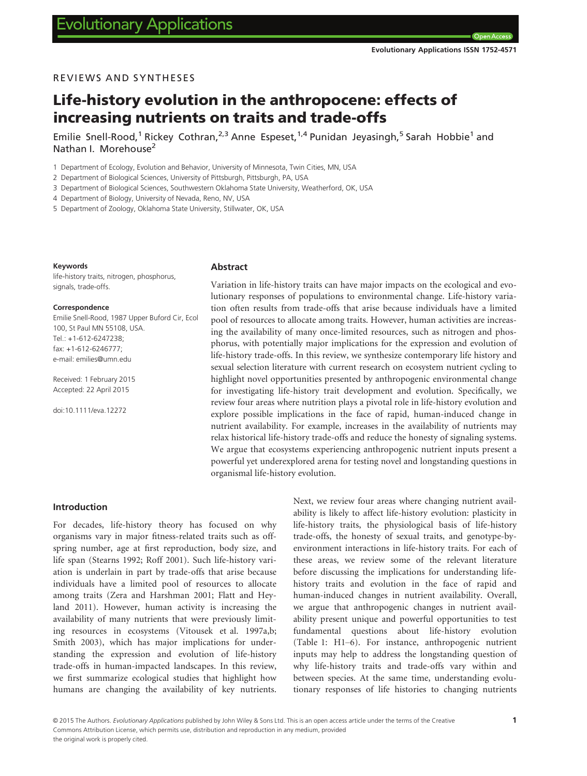# REVIEWS AND SYNTHESES

# Life-history evolution in the anthropocene: effects of increasing nutrients on traits and trade-offs

Emilie Snell-Rood,<sup>1</sup> Rickey Cothran,<sup>2,3</sup> Anne Espeset,<sup>1,4</sup> Punidan Jeyasingh,<sup>5</sup> Sarah Hobbie<sup>1</sup> and Nathan I. Morehouse<sup>2</sup>

1 Department of Ecology, Evolution and Behavior, University of Minnesota, Twin Cities, MN, USA

2 Department of Biological Sciences, University of Pittsburgh, Pittsburgh, PA, USA

3 Department of Biological Sciences, Southwestern Oklahoma State University, Weatherford, OK, USA

4 Department of Biology, University of Nevada, Reno, NV, USA

5 Department of Zoology, Oklahoma State University, Stillwater, OK, USA

#### Keywords

life-history traits, nitrogen, phosphorus, signals, trade-offs.

#### Correspondence

Emilie Snell-Rood, 1987 Upper Buford Cir, Ecol 100, St Paul MN 55108, USA. Tel.: +1-612-6247238; fax: +1-612-6246777; e-mail: emilies@umn.edu

Received: 1 February 2015 Accepted: 22 April 2015

doi:10.1111/eva.12272

### Abstract

Variation in life-history traits can have major impacts on the ecological and evolutionary responses of populations to environmental change. Life-history variation often results from trade-offs that arise because individuals have a limited pool of resources to allocate among traits. However, human activities are increasing the availability of many once-limited resources, such as nitrogen and phosphorus, with potentially major implications for the expression and evolution of life-history trade-offs. In this review, we synthesize contemporary life history and sexual selection literature with current research on ecosystem nutrient cycling to highlight novel opportunities presented by anthropogenic environmental change for investigating life-history trait development and evolution. Specifically, we review four areas where nutrition plays a pivotal role in life-history evolution and explore possible implications in the face of rapid, human-induced change in nutrient availability. For example, increases in the availability of nutrients may relax historical life-history trade-offs and reduce the honesty of signaling systems. We argue that ecosystems experiencing anthropogenic nutrient inputs present a powerful yet underexplored arena for testing novel and longstanding questions in organismal life-history evolution.

#### Introduction

For decades, life-history theory has focused on why organisms vary in major fitness-related traits such as offspring number, age at first reproduction, body size, and life span (Stearns 1992; Roff 2001). Such life-history variation is underlain in part by trade-offs that arise because individuals have a limited pool of resources to allocate among traits (Zera and Harshman 2001; Flatt and Heyland 2011). However, human activity is increasing the availability of many nutrients that were previously limiting resources in ecosystems (Vitousek et al. 1997a,b; Smith 2003), which has major implications for understanding the expression and evolution of life-history trade-offs in human-impacted landscapes. In this review, we first summarize ecological studies that highlight how humans are changing the availability of key nutrients.

Next, we review four areas where changing nutrient availability is likely to affect life-history evolution: plasticity in life-history traits, the physiological basis of life-history trade-offs, the honesty of sexual traits, and genotype-byenvironment interactions in life-history traits. For each of these areas, we review some of the relevant literature before discussing the implications for understanding lifehistory traits and evolution in the face of rapid and human-induced changes in nutrient availability. Overall, we argue that anthropogenic changes in nutrient availability present unique and powerful opportunities to test fundamental questions about life-history evolution (Table 1: H1–6). For instance, anthropogenic nutrient inputs may help to address the longstanding question of why life-history traits and trade-offs vary within and between species. At the same time, understanding evolutionary responses of life histories to changing nutrients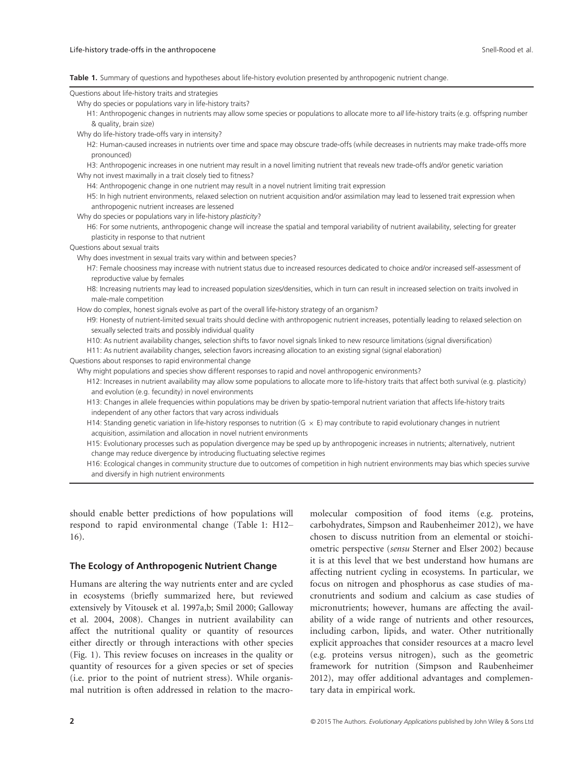Table 1. Summary of questions and hypotheses about life-history evolution presented by anthropogenic nutrient change.

| Questions about life-history traits and strategies                                                                                                                                                                          |
|-----------------------------------------------------------------------------------------------------------------------------------------------------------------------------------------------------------------------------|
| Why do species or populations vary in life-history traits?                                                                                                                                                                  |
| H1: Anthropogenic changes in nutrients may allow some species or populations to allocate more to all life-history traits (e.g. offspring number                                                                             |
| & quality, brain size)                                                                                                                                                                                                      |
| Why do life-history trade-offs vary in intensity?                                                                                                                                                                           |
| H2: Human-caused increases in nutrients over time and space may obscure trade-offs (while decreases in nutrients may make trade-offs more<br>pronounced)                                                                    |
| H3: Anthropogenic increases in one nutrient may result in a novel limiting nutrient that reveals new trade-offs and/or genetic variation                                                                                    |
| Why not invest maximally in a trait closely tied to fitness?                                                                                                                                                                |
| H4: Anthropogenic change in one nutrient may result in a novel nutrient limiting trait expression                                                                                                                           |
| H5: In high nutrient environments, relaxed selection on nutrient acquisition and/or assimilation may lead to lessened trait expression when<br>anthropogenic nutrient increases are lessened                                |
| Why do species or populations vary in life-history plasticity?                                                                                                                                                              |
| H6: For some nutrients, anthropogenic change will increase the spatial and temporal variability of nutrient availability, selecting for greater<br>plasticity in response to that nutrient                                  |
| Questions about sexual traits                                                                                                                                                                                               |
| Why does investment in sexual traits vary within and between species?                                                                                                                                                       |
| H7: Female choosiness may increase with nutrient status due to increased resources dedicated to choice and/or increased self-assessment of<br>reproductive value by females                                                 |
| H8: Increasing nutrients may lead to increased population sizes/densities, which in turn can result in increased selection on traits involved in<br>male-male competition                                                   |
| How do complex, honest signals evolve as part of the overall life-history strategy of an organism?                                                                                                                          |
| H9: Honesty of nutrient-limited sexual traits should decline with anthropogenic nutrient increases, potentially leading to relaxed selection on<br>sexually selected traits and possibly individual quality                 |
| H10: As nutrient availability changes, selection shifts to favor novel signals linked to new resource limitations (signal diversification)                                                                                  |
| H11: As nutrient availability changes, selection favors increasing allocation to an existing signal (signal elaboration)                                                                                                    |
| Questions about responses to rapid environmental change                                                                                                                                                                     |
| Why might populations and species show different responses to rapid and novel anthropogenic environments?                                                                                                                   |
| H12: Increases in nutrient availability may allow some populations to allocate more to life-history traits that affect both survival (e.g. plasticity)<br>and evolution (e.g. fecundity) in novel environments              |
| H13: Changes in allele frequencies within populations may be driven by spatio-temporal nutrient variation that affects life-history traits<br>independent of any other factors that vary across individuals                 |
| H14: Standing genetic variation in life-history responses to nutrition ( $G \times E$ ) may contribute to rapid evolutionary changes in nutrient<br>acquisition, assimilation and allocation in novel nutrient environments |
| H15: Evolutionary processes such as population divergence may be sped up by anthropogenic increases in nutrients; alternatively, nutrient                                                                                   |
| change may reduce divergence by introducing fluctuating selective regimes                                                                                                                                                   |
| H16: Ecological changes in community structure due to outcomes of competition in high nutrient environments may bias which species survive<br>and diversify in high nutrient environments                                   |

should enable better predictions of how populations will respond to rapid environmental change (Table 1: H12– 16).

## The Ecology of Anthropogenic Nutrient Change

Humans are altering the way nutrients enter and are cycled in ecosystems (briefly summarized here, but reviewed extensively by Vitousek et al. 1997a,b; Smil 2000; Galloway et al. 2004, 2008). Changes in nutrient availability can affect the nutritional quality or quantity of resources either directly or through interactions with other species (Fig. 1). This review focuses on increases in the quality or quantity of resources for a given species or set of species (i.e. prior to the point of nutrient stress). While organismal nutrition is often addressed in relation to the macromolecular composition of food items (e.g. proteins, carbohydrates, Simpson and Raubenheimer 2012), we have chosen to discuss nutrition from an elemental or stoichiometric perspective (sensu Sterner and Elser 2002) because it is at this level that we best understand how humans are affecting nutrient cycling in ecosystems. In particular, we focus on nitrogen and phosphorus as case studies of macronutrients and sodium and calcium as case studies of micronutrients; however, humans are affecting the availability of a wide range of nutrients and other resources, including carbon, lipids, and water. Other nutritionally explicit approaches that consider resources at a macro level (e.g. proteins versus nitrogen), such as the geometric framework for nutrition (Simpson and Raubenheimer 2012), may offer additional advantages and complementary data in empirical work.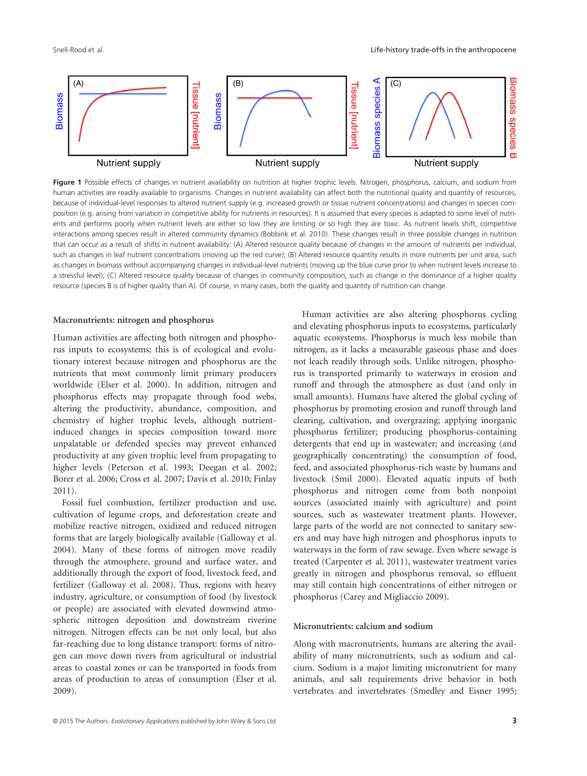

Figure 1 Possible effects of changes in nutrient availability on nutrition at higher trophic levels. Nitrogen, phosphorus, calcium, and sodium from human activities are readily available to organisms. Changes in nutrient availability can affect both the nutritional quality and quantity of resources, because of individual-level responses to altered nutrient supply (e.g. increased growth or tissue nutrient concentrations) and changes in species composition (e.g. arising from variation in competitive ability for nutrients in resources). It is assumed that every species is adapted to some level of nutrients and performs poorly when nutrient levels are either so low they are limiting or so high they are toxic. As nutrient levels shift, competitive interactions among species result in altered community dynamics (Bobbink et al. 2010). These changes result in three possible changes in nutrition that can occur as a result of shifts in nutrient availability: (A) Altered resource quality because of changes in the amount of nutrients per individual, such as changes in leaf nutrient concentrations (moving up the red curve); (B) Altered resource quantity results in more nutrients per unit area, such as changes in biomass without accompanying changes in individual-level nutrients (moving up the blue curve prior to when nutrient levels increase to a stressful level); (C) Altered resource quality because of changes in community composition, such as change in the dominance of a higher quality resource (species B is of higher quality than A). Of course, in many cases, both the quality and quantity of nutrition can change.

#### Macronutrients: nitrogen and phosphorus

Human activities are affecting both nitrogen and phosphorus inputs to ecosystems; this is of ecological and evolutionary interest because nitrogen and phosphorus are the nutrients that most commonly limit primary producers worldwide (Elser et al. 2000). In addition, nitrogen and phosphorus effects may propagate through food webs, altering the productivity, abundance, composition, and chemistry of higher trophic levels, although nutrientinduced changes in species composition toward more unpalatable or defended species may prevent enhanced productivity at any given trophic level from propagating to higher levels (Peterson et al. 1993; Deegan et al. 2002; Borer et al. 2006; Cross et al. 2007; Davis et al. 2010; Finlay 2011).

Fossil fuel combustion, fertilizer production and use, cultivation of legume crops, and deforestation create and mobilize reactive nitrogen, oxidized and reduced nitrogen forms that are largely biologically available (Galloway et al. 2004). Many of these forms of nitrogen move readily through the atmosphere, ground and surface water, and additionally through the export of food, livestock feed, and fertilizer (Galloway et al. 2008). Thus, regions with heavy industry, agriculture, or consumption of food (by livestock or people) are associated with elevated downwind atmospheric nitrogen deposition and downstream riverine nitrogen. Nitrogen effects can be not only local, but also far-reaching due to long distance transport: forms of nitrogen can move down rivers from agricultural or industrial areas to coastal zones or can be transported in foods from areas of production to areas of consumption (Elser et al. 2009).

Human activities are also altering phosphorus cycling and elevating phosphorus inputs to ecosystems, particularly aquatic ecosystems. Phosphorus is much less mobile than nitrogen, as it lacks a measurable gaseous phase and does not leach readily through soils. Unlike nitrogen, phosphorus is transported primarily to waterways in erosion and runoff and through the atmosphere as dust (and only in small amounts). Humans have altered the global cycling of phosphorus by promoting erosion and runoff through land clearing, cultivation, and overgrazing; applying inorganic phosphorus fertilizer; producing phosphorus-containing detergents that end up in wastewater; and increasing (and geographically concentrating) the consumption of food, feed, and associated phosphorus-rich waste by humans and livestock (Smil 2000). Elevated aquatic inputs of both phosphorus and nitrogen come from both nonpoint sources (associated mainly with agriculture) and point sources, such as wastewater treatment plants. However, large parts of the world are not connected to sanitary sewers and may have high nitrogen and phosphorus inputs to waterways in the form of raw sewage. Even where sewage is treated (Carpenter et al. 2011), wastewater treatment varies greatly in nitrogen and phosphorus removal, so effluent may still contain high concentrations of either nitrogen or phosphorus (Carey and Migliaccio 2009).

## Micronutrients: calcium and sodium

Along with macronutrients, humans are altering the availability of many micronutrients, such as sodium and calcium. Sodium is a major limiting micronutrient for many animals, and salt requirements drive behavior in both vertebrates and invertebrates (Smedley and Eisner 1995;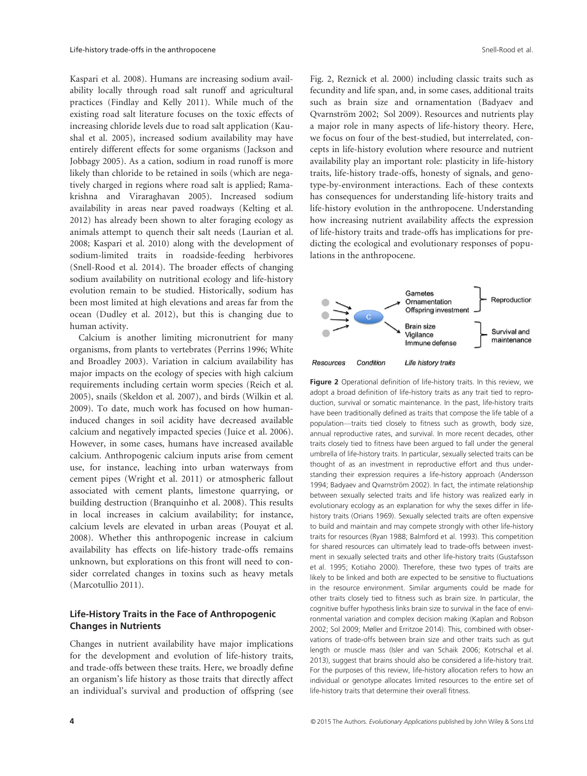Kaspari et al. 2008). Humans are increasing sodium availability locally through road salt runoff and agricultural practices (Findlay and Kelly 2011). While much of the existing road salt literature focuses on the toxic effects of increasing chloride levels due to road salt application (Kaushal et al. 2005), increased sodium availability may have entirely different effects for some organisms (Jackson and Jobbagy 2005). As a cation, sodium in road runoff is more likely than chloride to be retained in soils (which are negatively charged in regions where road salt is applied; Ramakrishna and Viraraghavan 2005). Increased sodium availability in areas near paved roadways (Kelting et al. 2012) has already been shown to alter foraging ecology as animals attempt to quench their salt needs (Laurian et al. 2008; Kaspari et al. 2010) along with the development of sodium-limited traits in roadside-feeding herbivores (Snell-Rood et al. 2014). The broader effects of changing sodium availability on nutritional ecology and life-history evolution remain to be studied. Historically, sodium has been most limited at high elevations and areas far from the ocean (Dudley et al. 2012), but this is changing due to human activity.

Calcium is another limiting micronutrient for many organisms, from plants to vertebrates (Perrins 1996; White and Broadley 2003). Variation in calcium availability has major impacts on the ecology of species with high calcium requirements including certain worm species (Reich et al. 2005), snails (Skeldon et al. 2007), and birds (Wilkin et al. 2009). To date, much work has focused on how humaninduced changes in soil acidity have decreased available calcium and negatively impacted species (Juice et al. 2006). However, in some cases, humans have increased available calcium. Anthropogenic calcium inputs arise from cement use, for instance, leaching into urban waterways from cement pipes (Wright et al. 2011) or atmospheric fallout associated with cement plants, limestone quarrying, or building destruction (Branquinho et al. 2008). This results in local increases in calcium availability; for instance, calcium levels are elevated in urban areas (Pouyat et al. 2008). Whether this anthropogenic increase in calcium availability has effects on life-history trade-offs remains unknown, but explorations on this front will need to consider correlated changes in toxins such as heavy metals (Marcotullio 2011).

# Life-History Traits in the Face of Anthropogenic Changes in Nutrients

Changes in nutrient availability have major implications for the development and evolution of life-history traits, and trade-offs between these traits. Here, we broadly define an organism's life history as those traits that directly affect an individual's survival and production of offspring (see

Fig. 2, Reznick et al. 2000) including classic traits such as fecundity and life span, and, in some cases, additional traits such as brain size and ornamentation (Badyaev and Qvarnström 2002; Sol 2009). Resources and nutrients play a major role in many aspects of life-history theory. Here, we focus on four of the best-studied, but interrelated, concepts in life-history evolution where resource and nutrient availability play an important role: plasticity in life-history traits, life-history trade-offs, honesty of signals, and genotype-by-environment interactions. Each of these contexts has consequences for understanding life-history traits and life-history evolution in the anthropocene. Understanding how increasing nutrient availability affects the expression of life-history traits and trade-offs has implications for predicting the ecological and evolutionary responses of populations in the anthropocene.



Figure 2 Operational definition of life-history traits. In this review, we adopt a broad definition of life-history traits as any trait tied to reproduction, survival or somatic maintenance. In the past, life-history traits have been traditionally defined as traits that compose the life table of a population—traits tied closely to fitness such as growth, body size, annual reproductive rates, and survival. In more recent decades, other traits closely tied to fitness have been argued to fall under the general umbrella of life-history traits. In particular, sexually selected traits can be thought of as an investment in reproductive effort and thus understanding their expression requires a life-history approach (Andersson 1994; Badyaev and Qvarnström 2002). In fact, the intimate relationship between sexually selected traits and life history was realized early in evolutionary ecology as an explanation for why the sexes differ in lifehistory traits (Orians 1969). Sexually selected traits are often expensive to build and maintain and may compete strongly with other life-history traits for resources (Ryan 1988; Balmford et al. 1993). This competition for shared resources can ultimately lead to trade-offs between investment in sexually selected traits and other life-history traits (Gustafsson et al. 1995; Kotiaho 2000). Therefore, these two types of traits are likely to be linked and both are expected to be sensitive to fluctuations in the resource environment. Similar arguments could be made for other traits closely tied to fitness such as brain size. In particular, the cognitive buffer hypothesis links brain size to survival in the face of environmental variation and complex decision making (Kaplan and Robson 2002; Sol 2009; Møller and Erritzoe 2014). This, combined with observations of trade-offs between brain size and other traits such as gut length or muscle mass (Isler and van Schaik 2006; Kotrschal et al. 2013), suggest that brains should also be considered a life-history trait. For the purposes of this review, life-history allocation refers to how an individual or genotype allocates limited resources to the entire set of life-history traits that determine their overall fitness.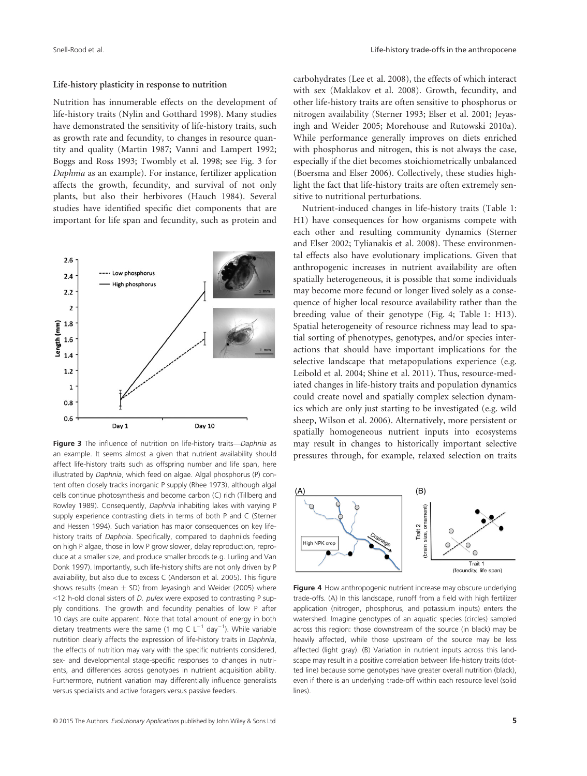#### Life-history plasticity in response to nutrition

Nutrition has innumerable effects on the development of life-history traits (Nylin and Gotthard 1998). Many studies have demonstrated the sensitivity of life-history traits, such as growth rate and fecundity, to changes in resource quantity and quality (Martin 1987; Vanni and Lampert 1992; Boggs and Ross 1993; Twombly et al. 1998; see Fig. 3 for Daphnia as an example). For instance, fertilizer application affects the growth, fecundity, and survival of not only plants, but also their herbivores (Hauch 1984). Several studies have identified specific diet components that are important for life span and fecundity, such as protein and



Figure 3 The influence of nutrition on life-history traits—Daphnia as an example. It seems almost a given that nutrient availability should affect life-history traits such as offspring number and life span, here illustrated by Daphnia, which feed on algae. Algal phosphorus (P) content often closely tracks inorganic P supply (Rhee 1973), although algal cells continue photosynthesis and become carbon (C) rich (Tillberg and Rowley 1989). Consequently, Daphnia inhabiting lakes with varying P supply experience contrasting diets in terms of both P and C (Sterner and Hessen 1994). Such variation has major consequences on key lifehistory traits of Daphnia. Specifically, compared to daphniids feeding on high P algae, those in low P grow slower, delay reproduction, reproduce at a smaller size, and produce smaller broods (e.g. Lurling and Van Donk 1997). Importantly, such life-history shifts are not only driven by P availability, but also due to excess C (Anderson et al. 2005). This figure shows results (mean  $\pm$  SD) from Jeyasingh and Weider (2005) where  $<$ 12 h-old clonal sisters of *D. pulex* were exposed to contrasting P supply conditions. The growth and fecundity penalties of low P after 10 days are quite apparent. Note that total amount of energy in both dietary treatments were the same (1 mg C  $L^{-1}$  day<sup>-1</sup>). While variable nutrition clearly affects the expression of life-history traits in Daphnia, the effects of nutrition may vary with the specific nutrients considered, sex- and developmental stage-specific responses to changes in nutrients, and differences across genotypes in nutrient acquisition ability. Furthermore, nutrient variation may differentially influence generalists versus specialists and active foragers versus passive feeders.

carbohydrates (Lee et al. 2008), the effects of which interact with sex (Maklakov et al. 2008). Growth, fecundity, and other life-history traits are often sensitive to phosphorus or nitrogen availability (Sterner 1993; Elser et al. 2001; Jeyasingh and Weider 2005; Morehouse and Rutowski 2010a). While performance generally improves on diets enriched with phosphorus and nitrogen, this is not always the case, especially if the diet becomes stoichiometrically unbalanced (Boersma and Elser 2006). Collectively, these studies highlight the fact that life-history traits are often extremely sensitive to nutritional perturbations.

Nutrient-induced changes in life-history traits (Table 1: H1) have consequences for how organisms compete with each other and resulting community dynamics (Sterner and Elser 2002; Tylianakis et al. 2008). These environmental effects also have evolutionary implications. Given that anthropogenic increases in nutrient availability are often spatially heterogeneous, it is possible that some individuals may become more fecund or longer lived solely as a consequence of higher local resource availability rather than the breeding value of their genotype (Fig. 4; Table 1: H13). Spatial heterogeneity of resource richness may lead to spatial sorting of phenotypes, genotypes, and/or species interactions that should have important implications for the selective landscape that metapopulations experience (e.g. Leibold et al. 2004; Shine et al. 2011). Thus, resource-mediated changes in life-history traits and population dynamics could create novel and spatially complex selection dynamics which are only just starting to be investigated (e.g. wild sheep, Wilson et al. 2006). Alternatively, more persistent or spatially homogeneous nutrient inputs into ecosystems may result in changes to historically important selective pressures through, for example, relaxed selection on traits



Figure 4 How anthropogenic nutrient increase may obscure underlying trade-offs. (A) In this landscape, runoff from a field with high fertilizer application (nitrogen, phosphorus, and potassium inputs) enters the watershed. Imagine genotypes of an aquatic species (circles) sampled across this region: those downstream of the source (in black) may be heavily affected, while those upstream of the source may be less affected (light gray). (B) Variation in nutrient inputs across this landscape may result in a positive correlation between life-history traits (dotted line) because some genotypes have greater overall nutrition (black), even if there is an underlying trade-off within each resource level (solid lines).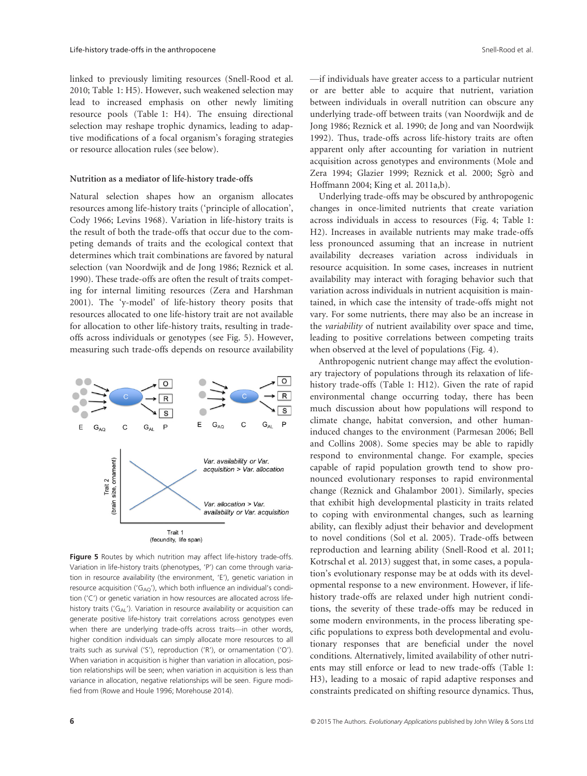linked to previously limiting resources (Snell-Rood et al. 2010; Table 1: H5). However, such weakened selection may lead to increased emphasis on other newly limiting resource pools (Table 1: H4). The ensuing directional selection may reshape trophic dynamics, leading to adaptive modifications of a focal organism's foraging strategies or resource allocation rules (see below).

## Nutrition as a mediator of life-history trade-offs

Natural selection shapes how an organism allocates resources among life-history traits ('principle of allocation', Cody 1966; Levins 1968). Variation in life-history traits is the result of both the trade-offs that occur due to the competing demands of traits and the ecological context that determines which trait combinations are favored by natural selection (van Noordwijk and de Jong 1986; Reznick et al. 1990). These trade-offs are often the result of traits competing for internal limiting resources (Zera and Harshman 2001). The 'y-model' of life-history theory posits that resources allocated to one life-history trait are not available for allocation to other life-history traits, resulting in tradeoffs across individuals or genotypes (see Fig. 5). However, measuring such trade-offs depends on resource availability



Figure 5 Routes by which nutrition may affect life-history trade-offs. Variation in life-history traits (phenotypes, 'P') can come through variation in resource availability (the environment, 'E'), genetic variation in resource acquisition (' $G_{AQ}$ '), which both influence an individual's condition ('C') or genetic variation in how resources are allocated across lifehistory traits (' $G_{Al}$ '). Variation in resource availability or acquisition can generate positive life-history trait correlations across genotypes even when there are underlying trade-offs across traits—in other words, higher condition individuals can simply allocate more resources to all traits such as survival ('S'), reproduction ('R'), or ornamentation ('O'). When variation in acquisition is higher than variation in allocation, position relationships will be seen; when variation in acquisition is less than variance in allocation, negative relationships will be seen. Figure modified from (Rowe and Houle 1996; Morehouse 2014).

—if individuals have greater access to a particular nutrient or are better able to acquire that nutrient, variation between individuals in overall nutrition can obscure any underlying trade-off between traits (van Noordwijk and de Jong 1986; Reznick et al. 1990; de Jong and van Noordwijk 1992). Thus, trade-offs across life-history traits are often apparent only after accounting for variation in nutrient acquisition across genotypes and environments (Mole and Zera 1994; Glazier 1999; Reznick et al. 2000; Sgrò and Hoffmann 2004; King et al. 2011a,b).

Underlying trade-offs may be obscured by anthropogenic changes in once-limited nutrients that create variation across individuals in access to resources (Fig. 4; Table 1: H2). Increases in available nutrients may make trade-offs less pronounced assuming that an increase in nutrient availability decreases variation across individuals in resource acquisition. In some cases, increases in nutrient availability may interact with foraging behavior such that variation across individuals in nutrient acquisition is maintained, in which case the intensity of trade-offs might not vary. For some nutrients, there may also be an increase in the variability of nutrient availability over space and time, leading to positive correlations between competing traits when observed at the level of populations (Fig. 4).

Anthropogenic nutrient change may affect the evolutionary trajectory of populations through its relaxation of lifehistory trade-offs (Table 1: H12). Given the rate of rapid environmental change occurring today, there has been much discussion about how populations will respond to climate change, habitat conversion, and other humaninduced changes to the environment (Parmesan 2006; Bell and Collins 2008). Some species may be able to rapidly respond to environmental change. For example, species capable of rapid population growth tend to show pronounced evolutionary responses to rapid environmental change (Reznick and Ghalambor 2001). Similarly, species that exhibit high developmental plasticity in traits related to coping with environmental changes, such as learning ability, can flexibly adjust their behavior and development to novel conditions (Sol et al. 2005). Trade-offs between reproduction and learning ability (Snell-Rood et al. 2011; Kotrschal et al. 2013) suggest that, in some cases, a population's evolutionary response may be at odds with its developmental response to a new environment. However, if lifehistory trade-offs are relaxed under high nutrient conditions, the severity of these trade-offs may be reduced in some modern environments, in the process liberating specific populations to express both developmental and evolutionary responses that are beneficial under the novel conditions. Alternatively, limited availability of other nutrients may still enforce or lead to new trade-offs (Table 1: H3), leading to a mosaic of rapid adaptive responses and constraints predicated on shifting resource dynamics. Thus,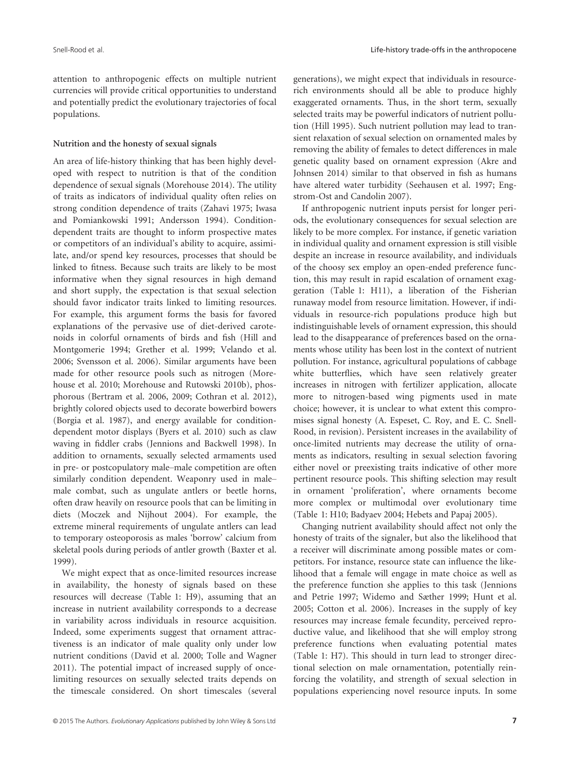attention to anthropogenic effects on multiple nutrient currencies will provide critical opportunities to understand and potentially predict the evolutionary trajectories of focal populations.

#### Nutrition and the honesty of sexual signals

An area of life-history thinking that has been highly developed with respect to nutrition is that of the condition dependence of sexual signals (Morehouse 2014). The utility of traits as indicators of individual quality often relies on strong condition dependence of traits (Zahavi 1975; Iwasa and Pomiankowski 1991; Andersson 1994). Conditiondependent traits are thought to inform prospective mates or competitors of an individual's ability to acquire, assimilate, and/or spend key resources, processes that should be linked to fitness. Because such traits are likely to be most informative when they signal resources in high demand and short supply, the expectation is that sexual selection should favor indicator traits linked to limiting resources. For example, this argument forms the basis for favored explanations of the pervasive use of diet-derived carotenoids in colorful ornaments of birds and fish (Hill and Montgomerie 1994; Grether et al. 1999; Velando et al. 2006; Svensson et al. 2006). Similar arguments have been made for other resource pools such as nitrogen (Morehouse et al. 2010; Morehouse and Rutowski 2010b), phosphorous (Bertram et al. 2006, 2009; Cothran et al. 2012), brightly colored objects used to decorate bowerbird bowers (Borgia et al. 1987), and energy available for conditiondependent motor displays (Byers et al. 2010) such as claw waving in fiddler crabs (Jennions and Backwell 1998). In addition to ornaments, sexually selected armaments used in pre- or postcopulatory male–male competition are often similarly condition dependent. Weaponry used in male– male combat, such as ungulate antlers or beetle horns, often draw heavily on resource pools that can be limiting in diets (Moczek and Nijhout 2004). For example, the extreme mineral requirements of ungulate antlers can lead to temporary osteoporosis as males 'borrow' calcium from skeletal pools during periods of antler growth (Baxter et al. 1999).

We might expect that as once-limited resources increase in availability, the honesty of signals based on these resources will decrease (Table 1: H9), assuming that an increase in nutrient availability corresponds to a decrease in variability across individuals in resource acquisition. Indeed, some experiments suggest that ornament attractiveness is an indicator of male quality only under low nutrient conditions (David et al. 2000; Tolle and Wagner 2011). The potential impact of increased supply of oncelimiting resources on sexually selected traits depends on the timescale considered. On short timescales (several

generations), we might expect that individuals in resourcerich environments should all be able to produce highly exaggerated ornaments. Thus, in the short term, sexually selected traits may be powerful indicators of nutrient pollution (Hill 1995). Such nutrient pollution may lead to transient relaxation of sexual selection on ornamented males by removing the ability of females to detect differences in male genetic quality based on ornament expression (Akre and Johnsen 2014) similar to that observed in fish as humans have altered water turbidity (Seehausen et al. 1997; Engstrom-Ost and Candolin 2007).

If anthropogenic nutrient inputs persist for longer periods, the evolutionary consequences for sexual selection are likely to be more complex. For instance, if genetic variation in individual quality and ornament expression is still visible despite an increase in resource availability, and individuals of the choosy sex employ an open-ended preference function, this may result in rapid escalation of ornament exaggeration (Table 1: H11), a liberation of the Fisherian runaway model from resource limitation. However, if individuals in resource-rich populations produce high but indistinguishable levels of ornament expression, this should lead to the disappearance of preferences based on the ornaments whose utility has been lost in the context of nutrient pollution. For instance, agricultural populations of cabbage white butterflies, which have seen relatively greater increases in nitrogen with fertilizer application, allocate more to nitrogen-based wing pigments used in mate choice; however, it is unclear to what extent this compromises signal honesty (A. Espeset, C. Roy, and E. C. Snell-Rood, in revision). Persistent increases in the availability of once-limited nutrients may decrease the utility of ornaments as indicators, resulting in sexual selection favoring either novel or preexisting traits indicative of other more pertinent resource pools. This shifting selection may result in ornament 'proliferation', where ornaments become more complex or multimodal over evolutionary time (Table 1: H10; Badyaev 2004; Hebets and Papaj 2005).

Changing nutrient availability should affect not only the honesty of traits of the signaler, but also the likelihood that a receiver will discriminate among possible mates or competitors. For instance, resource state can influence the likelihood that a female will engage in mate choice as well as the preference function she applies to this task (Jennions and Petrie 1997; Widemo and Sæther 1999; Hunt et al. 2005; Cotton et al. 2006). Increases in the supply of key resources may increase female fecundity, perceived reproductive value, and likelihood that she will employ strong preference functions when evaluating potential mates (Table 1: H7). This should in turn lead to stronger directional selection on male ornamentation, potentially reinforcing the volatility, and strength of sexual selection in populations experiencing novel resource inputs. In some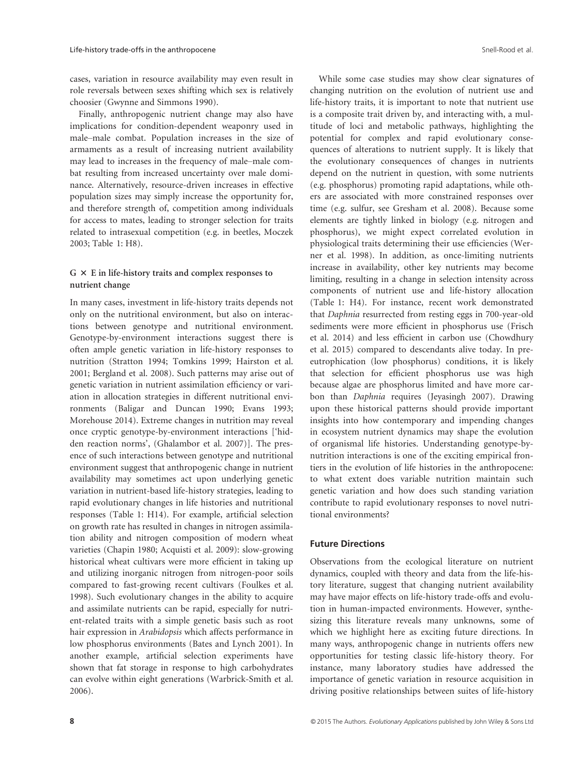cases, variation in resource availability may even result in role reversals between sexes shifting which sex is relatively choosier (Gwynne and Simmons 1990).

Finally, anthropogenic nutrient change may also have implications for condition-dependent weaponry used in male–male combat. Population increases in the size of armaments as a result of increasing nutrient availability may lead to increases in the frequency of male–male combat resulting from increased uncertainty over male dominance. Alternatively, resource-driven increases in effective population sizes may simply increase the opportunity for, and therefore strength of, competition among individuals for access to mates, leading to stronger selection for traits related to intrasexual competition (e.g. in beetles, Moczek 2003; Table 1: H8).

# $G \times E$  in life-history traits and complex responses to nutrient change

In many cases, investment in life-history traits depends not only on the nutritional environment, but also on interactions between genotype and nutritional environment. Genotype-by-environment interactions suggest there is often ample genetic variation in life-history responses to nutrition (Stratton 1994; Tomkins 1999; Hairston et al. 2001; Bergland et al. 2008). Such patterns may arise out of genetic variation in nutrient assimilation efficiency or variation in allocation strategies in different nutritional environments (Baligar and Duncan 1990; Evans 1993; Morehouse 2014). Extreme changes in nutrition may reveal once cryptic genotype-by-environment interactions ['hidden reaction norms', (Ghalambor et al. 2007)]. The presence of such interactions between genotype and nutritional environment suggest that anthropogenic change in nutrient availability may sometimes act upon underlying genetic variation in nutrient-based life-history strategies, leading to rapid evolutionary changes in life histories and nutritional responses (Table 1: H14). For example, artificial selection on growth rate has resulted in changes in nitrogen assimilation ability and nitrogen composition of modern wheat varieties (Chapin 1980; Acquisti et al. 2009): slow-growing historical wheat cultivars were more efficient in taking up and utilizing inorganic nitrogen from nitrogen-poor soils compared to fast-growing recent cultivars (Foulkes et al. 1998). Such evolutionary changes in the ability to acquire and assimilate nutrients can be rapid, especially for nutrient-related traits with a simple genetic basis such as root hair expression in Arabidopsis which affects performance in low phosphorus environments (Bates and Lynch 2001). In another example, artificial selection experiments have shown that fat storage in response to high carbohydrates can evolve within eight generations (Warbrick-Smith et al. 2006).

While some case studies may show clear signatures of changing nutrition on the evolution of nutrient use and life-history traits, it is important to note that nutrient use is a composite trait driven by, and interacting with, a multitude of loci and metabolic pathways, highlighting the potential for complex and rapid evolutionary consequences of alterations to nutrient supply. It is likely that the evolutionary consequences of changes in nutrients depend on the nutrient in question, with some nutrients (e.g. phosphorus) promoting rapid adaptations, while others are associated with more constrained responses over time (e.g. sulfur, see Gresham et al. 2008). Because some elements are tightly linked in biology (e.g. nitrogen and phosphorus), we might expect correlated evolution in physiological traits determining their use efficiencies (Werner et al. 1998). In addition, as once-limiting nutrients increase in availability, other key nutrients may become limiting, resulting in a change in selection intensity across components of nutrient use and life-history allocation (Table 1: H4). For instance, recent work demonstrated that Daphnia resurrected from resting eggs in 700-year-old sediments were more efficient in phosphorus use (Frisch et al. 2014) and less efficient in carbon use (Chowdhury et al. 2015) compared to descendants alive today. In preeutrophication (low phosphorus) conditions, it is likely that selection for efficient phosphorus use was high because algae are phosphorus limited and have more carbon than Daphnia requires (Jeyasingh 2007). Drawing upon these historical patterns should provide important insights into how contemporary and impending changes in ecosystem nutrient dynamics may shape the evolution of organismal life histories. Understanding genotype-bynutrition interactions is one of the exciting empirical frontiers in the evolution of life histories in the anthropocene: to what extent does variable nutrition maintain such genetic variation and how does such standing variation contribute to rapid evolutionary responses to novel nutritional environments?

## Future Directions

Observations from the ecological literature on nutrient dynamics, coupled with theory and data from the life-history literature, suggest that changing nutrient availability may have major effects on life-history trade-offs and evolution in human-impacted environments. However, synthesizing this literature reveals many unknowns, some of which we highlight here as exciting future directions. In many ways, anthropogenic change in nutrients offers new opportunities for testing classic life-history theory. For instance, many laboratory studies have addressed the importance of genetic variation in resource acquisition in driving positive relationships between suites of life-history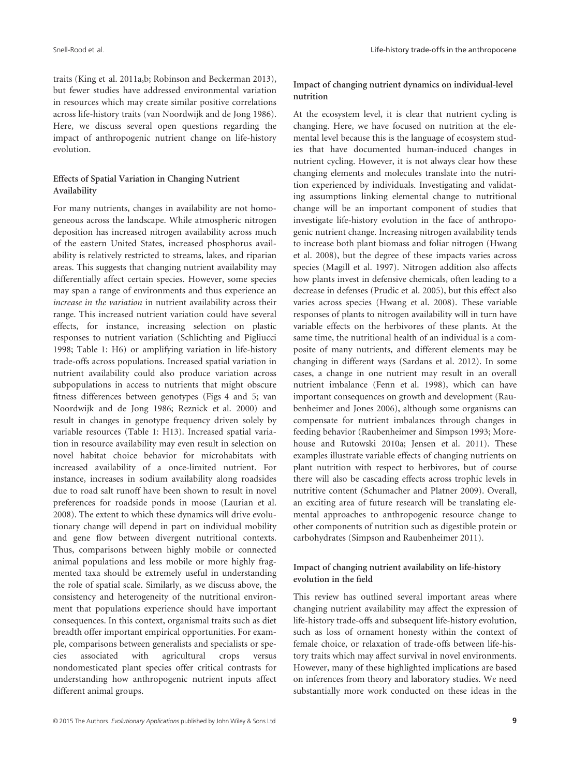traits (King et al. 2011a,b; Robinson and Beckerman 2013), but fewer studies have addressed environmental variation in resources which may create similar positive correlations across life-history traits (van Noordwijk and de Jong 1986). Here, we discuss several open questions regarding the impact of anthropogenic nutrient change on life-history evolution.

# Effects of Spatial Variation in Changing Nutrient Availability

For many nutrients, changes in availability are not homogeneous across the landscape. While atmospheric nitrogen deposition has increased nitrogen availability across much of the eastern United States, increased phosphorus availability is relatively restricted to streams, lakes, and riparian areas. This suggests that changing nutrient availability may differentially affect certain species. However, some species may span a range of environments and thus experience an increase in the variation in nutrient availability across their range. This increased nutrient variation could have several effects, for instance, increasing selection on plastic responses to nutrient variation (Schlichting and Pigliucci 1998; Table 1: H6) or amplifying variation in life-history trade-offs across populations. Increased spatial variation in nutrient availability could also produce variation across subpopulations in access to nutrients that might obscure fitness differences between genotypes (Figs 4 and 5; van Noordwijk and de Jong 1986; Reznick et al. 2000) and result in changes in genotype frequency driven solely by variable resources (Table 1: H13). Increased spatial variation in resource availability may even result in selection on novel habitat choice behavior for microhabitats with increased availability of a once-limited nutrient. For instance, increases in sodium availability along roadsides due to road salt runoff have been shown to result in novel preferences for roadside ponds in moose (Laurian et al. 2008). The extent to which these dynamics will drive evolutionary change will depend in part on individual mobility and gene flow between divergent nutritional contexts. Thus, comparisons between highly mobile or connected animal populations and less mobile or more highly fragmented taxa should be extremely useful in understanding the role of spatial scale. Similarly, as we discuss above, the consistency and heterogeneity of the nutritional environment that populations experience should have important consequences. In this context, organismal traits such as diet breadth offer important empirical opportunities. For example, comparisons between generalists and specialists or species associated with agricultural crops versus nondomesticated plant species offer critical contrasts for understanding how anthropogenic nutrient inputs affect different animal groups.

# Impact of changing nutrient dynamics on individual-level nutrition

At the ecosystem level, it is clear that nutrient cycling is changing. Here, we have focused on nutrition at the elemental level because this is the language of ecosystem studies that have documented human-induced changes in nutrient cycling. However, it is not always clear how these changing elements and molecules translate into the nutrition experienced by individuals. Investigating and validating assumptions linking elemental change to nutritional change will be an important component of studies that investigate life-history evolution in the face of anthropogenic nutrient change. Increasing nitrogen availability tends to increase both plant biomass and foliar nitrogen (Hwang et al. 2008), but the degree of these impacts varies across species (Magill et al. 1997). Nitrogen addition also affects how plants invest in defensive chemicals, often leading to a decrease in defenses (Prudic et al. 2005), but this effect also varies across species (Hwang et al. 2008). These variable responses of plants to nitrogen availability will in turn have variable effects on the herbivores of these plants. At the same time, the nutritional health of an individual is a composite of many nutrients, and different elements may be changing in different ways (Sardans et al. 2012). In some cases, a change in one nutrient may result in an overall nutrient imbalance (Fenn et al. 1998), which can have important consequences on growth and development (Raubenheimer and Jones 2006), although some organisms can compensate for nutrient imbalances through changes in feeding behavior (Raubenheimer and Simpson 1993; Morehouse and Rutowski 2010a; Jensen et al. 2011). These examples illustrate variable effects of changing nutrients on plant nutrition with respect to herbivores, but of course there will also be cascading effects across trophic levels in nutritive content (Schumacher and Platner 2009). Overall, an exciting area of future research will be translating elemental approaches to anthropogenic resource change to other components of nutrition such as digestible protein or carbohydrates (Simpson and Raubenheimer 2011).

# Impact of changing nutrient availability on life-history evolution in the field

This review has outlined several important areas where changing nutrient availability may affect the expression of life-history trade-offs and subsequent life-history evolution, such as loss of ornament honesty within the context of female choice, or relaxation of trade-offs between life-history traits which may affect survival in novel environments. However, many of these highlighted implications are based on inferences from theory and laboratory studies. We need substantially more work conducted on these ideas in the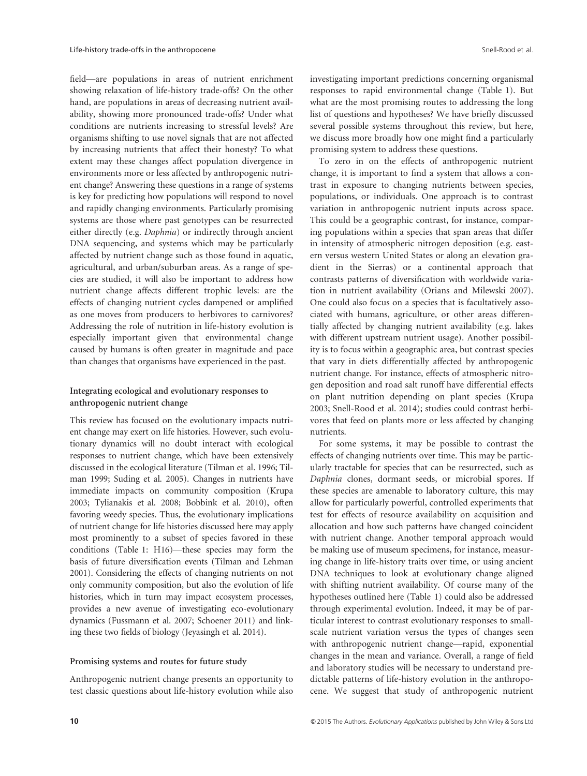field—are populations in areas of nutrient enrichment showing relaxation of life-history trade-offs? On the other hand, are populations in areas of decreasing nutrient availability, showing more pronounced trade-offs? Under what conditions are nutrients increasing to stressful levels? Are organisms shifting to use novel signals that are not affected by increasing nutrients that affect their honesty? To what extent may these changes affect population divergence in environments more or less affected by anthropogenic nutrient change? Answering these questions in a range of systems is key for predicting how populations will respond to novel and rapidly changing environments. Particularly promising systems are those where past genotypes can be resurrected either directly (e.g. Daphnia) or indirectly through ancient DNA sequencing, and systems which may be particularly affected by nutrient change such as those found in aquatic, agricultural, and urban/suburban areas. As a range of species are studied, it will also be important to address how nutrient change affects different trophic levels: are the effects of changing nutrient cycles dampened or amplified as one moves from producers to herbivores to carnivores? Addressing the role of nutrition in life-history evolution is especially important given that environmental change caused by humans is often greater in magnitude and pace than changes that organisms have experienced in the past.

# Integrating ecological and evolutionary responses to anthropogenic nutrient change

This review has focused on the evolutionary impacts nutrient change may exert on life histories. However, such evolutionary dynamics will no doubt interact with ecological responses to nutrient change, which have been extensively discussed in the ecological literature (Tilman et al. 1996; Tilman 1999; Suding et al. 2005). Changes in nutrients have immediate impacts on community composition (Krupa 2003; Tylianakis et al. 2008; Bobbink et al. 2010), often favoring weedy species. Thus, the evolutionary implications of nutrient change for life histories discussed here may apply most prominently to a subset of species favored in these conditions (Table 1: H16)—these species may form the basis of future diversification events (Tilman and Lehman 2001). Considering the effects of changing nutrients on not only community composition, but also the evolution of life histories, which in turn may impact ecosystem processes, provides a new avenue of investigating eco-evolutionary dynamics (Fussmann et al. 2007; Schoener 2011) and linking these two fields of biology (Jeyasingh et al. 2014).

## Promising systems and routes for future study

Anthropogenic nutrient change presents an opportunity to test classic questions about life-history evolution while also investigating important predictions concerning organismal responses to rapid environmental change (Table 1). But what are the most promising routes to addressing the long list of questions and hypotheses? We have briefly discussed several possible systems throughout this review, but here, we discuss more broadly how one might find a particularly promising system to address these questions.

To zero in on the effects of anthropogenic nutrient change, it is important to find a system that allows a contrast in exposure to changing nutrients between species, populations, or individuals. One approach is to contrast variation in anthropogenic nutrient inputs across space. This could be a geographic contrast, for instance, comparing populations within a species that span areas that differ in intensity of atmospheric nitrogen deposition (e.g. eastern versus western United States or along an elevation gradient in the Sierras) or a continental approach that contrasts patterns of diversification with worldwide variation in nutrient availability (Orians and Milewski 2007). One could also focus on a species that is facultatively associated with humans, agriculture, or other areas differentially affected by changing nutrient availability (e.g. lakes with different upstream nutrient usage). Another possibility is to focus within a geographic area, but contrast species that vary in diets differentially affected by anthropogenic nutrient change. For instance, effects of atmospheric nitrogen deposition and road salt runoff have differential effects on plant nutrition depending on plant species (Krupa 2003; Snell-Rood et al. 2014); studies could contrast herbivores that feed on plants more or less affected by changing nutrients.

For some systems, it may be possible to contrast the effects of changing nutrients over time. This may be particularly tractable for species that can be resurrected, such as Daphnia clones, dormant seeds, or microbial spores. If these species are amenable to laboratory culture, this may allow for particularly powerful, controlled experiments that test for effects of resource availability on acquisition and allocation and how such patterns have changed coincident with nutrient change. Another temporal approach would be making use of museum specimens, for instance, measuring change in life-history traits over time, or using ancient DNA techniques to look at evolutionary change aligned with shifting nutrient availability. Of course many of the hypotheses outlined here (Table 1) could also be addressed through experimental evolution. Indeed, it may be of particular interest to contrast evolutionary responses to smallscale nutrient variation versus the types of changes seen with anthropogenic nutrient change—rapid, exponential changes in the mean and variance. Overall, a range of field and laboratory studies will be necessary to understand predictable patterns of life-history evolution in the anthropocene. We suggest that study of anthropogenic nutrient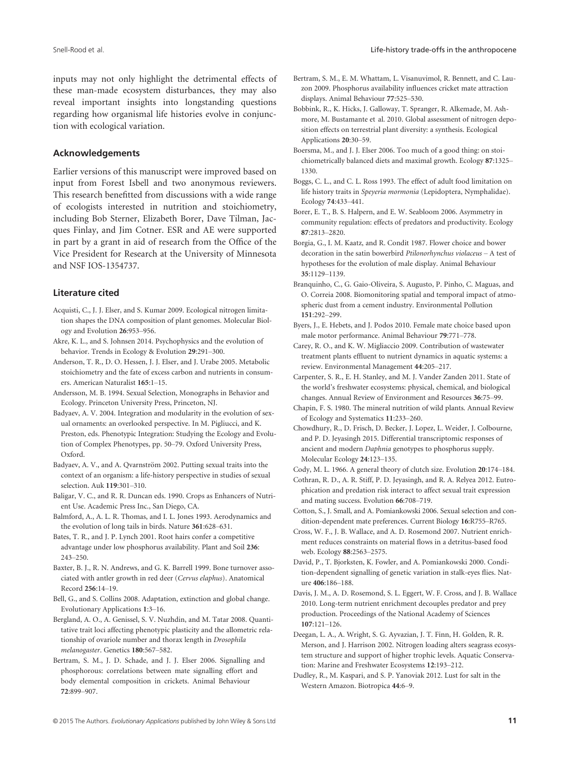inputs may not only highlight the detrimental effects of these man-made ecosystem disturbances, they may also reveal important insights into longstanding questions regarding how organismal life histories evolve in conjunction with ecological variation.

## Acknowledgements

Earlier versions of this manuscript were improved based on input from Forest Isbell and two anonymous reviewers. This research benefitted from discussions with a wide range of ecologists interested in nutrition and stoichiometry, including Bob Sterner, Elizabeth Borer, Dave Tilman, Jacques Finlay, and Jim Cotner. ESR and AE were supported in part by a grant in aid of research from the Office of the Vice President for Research at the University of Minnesota and NSF IOS-1354737.

## Literature cited

- Acquisti, C., J. J. Elser, and S. Kumar 2009. Ecological nitrogen limitation shapes the DNA composition of plant genomes. Molecular Biology and Evolution 26:953–956.
- Akre, K. L., and S. Johnsen 2014. Psychophysics and the evolution of behavior. Trends in Ecology & Evolution 29:291–300.
- Anderson, T. R., D. O. Hessen, J. J. Elser, and J. Urabe 2005. Metabolic stoichiometry and the fate of excess carbon and nutrients in consumers. American Naturalist 165:1–15.
- Andersson, M. B. 1994. Sexual Selection, Monographs in Behavior and Ecology. Princeton University Press, Princeton, NJ.
- Badyaev, A. V. 2004. Integration and modularity in the evolution of sexual ornaments: an overlooked perspective. In M. Pigliucci, and K. Preston, eds. Phenotypic Integration: Studying the Ecology and Evolution of Complex Phenotypes, pp. 50–79. Oxford University Press, Oxford.
- Badyaev, A. V., and A. Qvarnström 2002. Putting sexual traits into the context of an organism: a life-history perspective in studies of sexual selection. Auk 119:301–310.
- Baligar, V. C., and R. R. Duncan eds. 1990. Crops as Enhancers of Nutrient Use. Academic Press Inc., San Diego, CA.
- Balmford, A., A. L. R. Thomas, and I. L. Jones 1993. Aerodynamics and the evolution of long tails in birds. Nature 361:628–631.
- Bates, T. R., and J. P. Lynch 2001. Root hairs confer a competitive advantage under low phosphorus availability. Plant and Soil 236: 243–250.
- Baxter, B. J., R. N. Andrews, and G. K. Barrell 1999. Bone turnover associated with antler growth in red deer (Cervus elaphus). Anatomical Record 256:14–19.
- Bell, G., and S. Collins 2008. Adaptation, extinction and global change. Evolutionary Applications 1:3–16.
- Bergland, A. O., A. Genissel, S. V. Nuzhdin, and M. Tatar 2008. Quantitative trait loci affecting phenotypic plasticity and the allometric relationship of ovariole number and thorax length in Drosophila melanogaster. Genetics 180:567–582.
- Bertram, S. M., J. D. Schade, and J. J. Elser 2006. Signalling and phosphorous: correlations between mate signalling effort and body elemental composition in crickets. Animal Behaviour 72:899–907.
- Bertram, S. M., E. M. Whattam, L. Visanuvimol, R. Bennett, and C. Lauzon 2009. Phosphorus availability influences cricket mate attraction displays. Animal Behaviour 77:525–530.
- Bobbink, R., K. Hicks, J. Galloway, T. Spranger, R. Alkemade, M. Ashmore, M. Bustamante et al. 2010. Global assessment of nitrogen deposition effects on terrestrial plant diversity: a synthesis. Ecological Applications 20:30–59.
- Boersma, M., and J. J. Elser 2006. Too much of a good thing: on stoichiometrically balanced diets and maximal growth. Ecology 87:1325– 1330.
- Boggs, C. L., and C. L. Ross 1993. The effect of adult food limitation on life history traits in Speyeria mormonia (Lepidoptera, Nymphalidae). Ecology 74:433–441.
- Borer, E. T., B. S. Halpern, and E. W. Seabloom 2006. Asymmetry in community regulation: effects of predators and productivity. Ecology 87:2813–2820.
- Borgia, G., I. M. Kaatz, and R. Condit 1987. Flower choice and bower decoration in the satin bowerbird Ptilonorhynchus violaceus – A test of hypotheses for the evolution of male display. Animal Behaviour 35:1129–1139.
- Branquinho, C., G. Gaio-Oliveira, S. Augusto, P. Pinho, C. Maguas, and O. Correia 2008. Biomonitoring spatial and temporal impact of atmospheric dust from a cement industry. Environmental Pollution 151:292–299.
- Byers, J., E. Hebets, and J. Podos 2010. Female mate choice based upon male motor performance. Animal Behaviour 79:771–778.
- Carey, R. O., and K. W. Migliaccio 2009. Contribution of wastewater treatment plants effluent to nutrient dynamics in aquatic systems: a review. Environmental Management 44:205–217.
- Carpenter, S. R., E. H. Stanley, and M. J. Vander Zanden 2011. State of the world's freshwater ecosystems: physical, chemical, and biological changes. Annual Review of Environment and Resources 36:75–99.
- Chapin, F. S. 1980. The mineral nutrition of wild plants. Annual Review of Ecology and Systematics 11:233–260.
- Chowdhury, R., D. Frisch, D. Becker, J. Lopez, L. Weider, J. Colbourne, and P. D. Jeyasingh 2015. Differential transcriptomic responses of ancient and modern Daphnia genotypes to phosphorus supply. Molecular Ecology 24:123–135.

Cody, M. L. 1966. A general theory of clutch size. Evolution 20:174–184.

- Cothran, R. D., A. R. Stiff, P. D. Jeyasingh, and R. A. Relyea 2012. Eutrophication and predation risk interact to affect sexual trait expression and mating success. Evolution 66:708–719.
- Cotton, S., J. Small, and A. Pomiankowski 2006. Sexual selection and condition-dependent mate preferences. Current Biology 16:R755–R765.
- Cross, W. F., J. B. Wallace, and A. D. Rosemond 2007. Nutrient enrichment reduces constraints on material flows in a detritus-based food web. Ecology 88:2563–2575.
- David, P., T. Bjorksten, K. Fowler, and A. Pomiankowski 2000. Condition-dependent signalling of genetic variation in stalk-eyes flies. Nature 406:186–188.
- Davis, J. M., A. D. Rosemond, S. L. Eggert, W. F. Cross, and J. B. Wallace 2010. Long-term nutrient enrichment decouples predator and prey production. Proceedings of the National Academy of Sciences 107:121–126.
- Deegan, L. A., A. Wright, S. G. Ayvazian, J. T. Finn, H. Golden, R. R. Merson, and J. Harrison 2002. Nitrogen loading alters seagrass ecosystem structure and support of higher trophic levels. Aquatic Conservation: Marine and Freshwater Ecosystems 12:193–212.
- Dudley, R., M. Kaspari, and S. P. Yanoviak 2012. Lust for salt in the Western Amazon. Biotropica 44:6–9.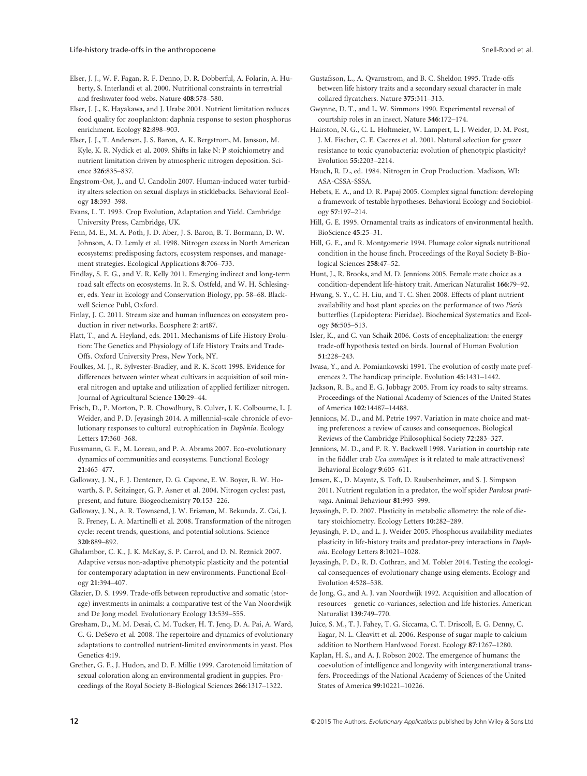Elser, J. J., W. F. Fagan, R. F. Denno, D. R. Dobberful, A. Folarin, A. Huberty, S. Interlandi et al. 2000. Nutritional constraints in terrestrial and freshwater food webs. Nature 408:578–580.

- Elser, J. J., K. Hayakawa, and J. Urabe 2001. Nutrient limitation reduces food quality for zooplankton: daphnia response to seston phosphorus enrichment. Ecology 82:898–903.
- Elser, J. J., T. Andersen, J. S. Baron, A. K. Bergstrom, M. Jansson, M. Kyle, K. R. Nydick et al. 2009. Shifts in lake N: P stoichiometry and nutrient limitation driven by atmospheric nitrogen deposition. Science 326:835–837.
- Engstrom-Ost, J., and U. Candolin 2007. Human-induced water turbidity alters selection on sexual displays in sticklebacks. Behavioral Ecology 18:393–398.
- Evans, L. T. 1993. Crop Evolution, Adaptation and Yield. Cambridge University Press, Cambridge, UK.
- Fenn, M. E., M. A. Poth, J. D. Aber, J. S. Baron, B. T. Bormann, D. W. Johnson, A. D. Lemly et al. 1998. Nitrogen excess in North American ecosystems: predisposing factors, ecosystem responses, and management strategies. Ecological Applications 8:706–733.
- Findlay, S. E. G., and V. R. Kelly 2011. Emerging indirect and long-term road salt effects on ecosystems. In R. S. Ostfeld, and W. H. Schlesinger, eds. Year in Ecology and Conservation Biology, pp. 58–68. Blackwell Science Publ, Oxford.
- Finlay, J. C. 2011. Stream size and human influences on ecosystem production in river networks. Ecosphere 2: art87.
- Flatt, T., and A. Heyland, eds. 2011. Mechanisms of Life History Evolution: The Genetics and Physiology of Life History Traits and Trade-Offs. Oxford University Press, New York, NY.
- Foulkes, M. J., R. Sylvester-Bradley, and R. K. Scott 1998. Evidence for differences between winter wheat cultivars in acquisition of soil mineral nitrogen and uptake and utilization of applied fertilizer nitrogen. Journal of Agricultural Science 130:29–44.
- Frisch, D., P. Morton, P. R. Chowdhury, B. Culver, J. K. Colbourne, L. J. Weider, and P. D. Jeyasingh 2014. A millennial-scale chronicle of evolutionary responses to cultural eutrophication in Daphnia. Ecology Letters 17:360–368.
- Fussmann, G. F., M. Loreau, and P. A. Abrams 2007. Eco-evolutionary dynamics of communities and ecosystems. Functional Ecology 21:465–477.
- Galloway, J. N., F. J. Dentener, D. G. Capone, E. W. Boyer, R. W. Howarth, S. P. Seitzinger, G. P. Asner et al. 2004. Nitrogen cycles: past, present, and future. Biogeochemistry 70:153–226.
- Galloway, J. N., A. R. Townsend, J. W. Erisman, M. Bekunda, Z. Cai, J. R. Freney, L. A. Martinelli et al. 2008. Transformation of the nitrogen cycle: recent trends, questions, and potential solutions. Science 320:889–892.
- Ghalambor, C. K., J. K. McKay, S. P. Carrol, and D. N. Reznick 2007. Adaptive versus non-adaptive phenotypic plasticity and the potential for contemporary adaptation in new environments. Functional Ecology 21:394–407.
- Glazier, D. S. 1999. Trade-offs between reproductive and somatic (storage) investments in animals: a comparative test of the Van Noordwijk and De Jong model. Evolutionary Ecology 13:539–555.
- Gresham, D., M. M. Desai, C. M. Tucker, H. T. Jenq, D. A. Pai, A. Ward, C. G. DeSevo et al. 2008. The repertoire and dynamics of evolutionary adaptations to controlled nutrient-limited environments in yeast. Plos Genetics 4:19.
- Grether, G. F., J. Hudon, and D. F. Millie 1999. Carotenoid limitation of sexual coloration along an environmental gradient in guppies. Proceedings of the Royal Society B-Biological Sciences 266:1317–1322.
- Gustafsson, L., A. Qvarnstrom, and B. C. Sheldon 1995. Trade-offs between life history traits and a secondary sexual character in male collared flycatchers. Nature 375:311–313.
- Gwynne, D. T., and L. W. Simmons 1990. Experimental reversal of courtship roles in an insect. Nature 346:172–174.
- Hairston, N. G., C. L. Holtmeier, W. Lampert, L. J. Weider, D. M. Post, J. M. Fischer, C. E. Caceres et al. 2001. Natural selection for grazer resistance to toxic cyanobacteria: evolution of phenotypic plasticity? Evolution 55:2203–2214.
- Hauch, R. D., ed. 1984. Nitrogen in Crop Production. Madison, WI: ASA-CSSA-SSSA.
- Hebets, E. A., and D. R. Papaj 2005. Complex signal function: developing a framework of testable hypotheses. Behavioral Ecology and Sociobiology 57:197–214.
- Hill, G. E. 1995. Ornamental traits as indicators of environmental health. BioScience 45:25–31.
- Hill, G. E., and R. Montgomerie 1994. Plumage color signals nutritional condition in the house finch. Proceedings of the Royal Society B-Biological Sciences 258:47–52.
- Hunt, J., R. Brooks, and M. D. Jennions 2005. Female mate choice as a condition-dependent life-history trait. American Naturalist 166:79–92.
- Hwang, S. Y., C. H. Liu, and T. C. Shen 2008. Effects of plant nutrient availability and host plant species on the performance of two Pieris butterflies (Lepidoptera: Pieridae). Biochemical Systematics and Ecology 36:505–513.
- Isler, K., and C. van Schaik 2006. Costs of encephalization: the energy trade-off hypothesis tested on birds. Journal of Human Evolution 51:228–243.
- Iwasa, Y., and A. Pomiankowski 1991. The evolution of costly mate preferences 2. The handicap principle. Evolution 45:1431–1442.
- Jackson, R. B., and E. G. Jobbagy 2005. From icy roads to salty streams. Proceedings of the National Academy of Sciences of the United States of America 102:14487–14488.
- Jennions, M. D., and M. Petrie 1997. Variation in mate choice and mating preferences: a review of causes and consequences. Biological Reviews of the Cambridge Philosophical Society 72:283–327.
- Jennions, M. D., and P. R. Y. Backwell 1998. Variation in courtship rate in the fiddler crab Uca annulipes: is it related to male attractiveness? Behavioral Ecology 9:605–611.
- Jensen, K., D. Mayntz, S. Toft, D. Raubenheimer, and S. J. Simpson 2011. Nutrient regulation in a predator, the wolf spider Pardosa prativaga. Animal Behaviour 81:993–999.
- Jeyasingh, P. D. 2007. Plasticity in metabolic allometry: the role of dietary stoichiometry. Ecology Letters 10:282–289.
- Jeyasingh, P. D., and L. J. Weider 2005. Phosphorus availability mediates plasticity in life-history traits and predator-prey interactions in Daphnia. Ecology Letters 8:1021–1028.
- Jeyasingh, P. D., R. D. Cothran, and M. Tobler 2014. Testing the ecological consequences of evolutionary change using elements. Ecology and Evolution 4:528–538.
- de Jong, G., and A. J. van Noordwijk 1992. Acquisition and allocation of resources – genetic co-variances, selection and life histories. American Naturalist 139:749–770.
- Juice, S. M., T. J. Fahey, T. G. Siccama, C. T. Driscoll, E. G. Denny, C. Eagar, N. L. Cleavitt et al. 2006. Response of sugar maple to calcium addition to Northern Hardwood Forest. Ecology 87:1267–1280.
- Kaplan, H. S., and A. J. Robson 2002. The emergence of humans: the coevolution of intelligence and longevity with intergenerational transfers. Proceedings of the National Academy of Sciences of the United States of America 99:10221–10226.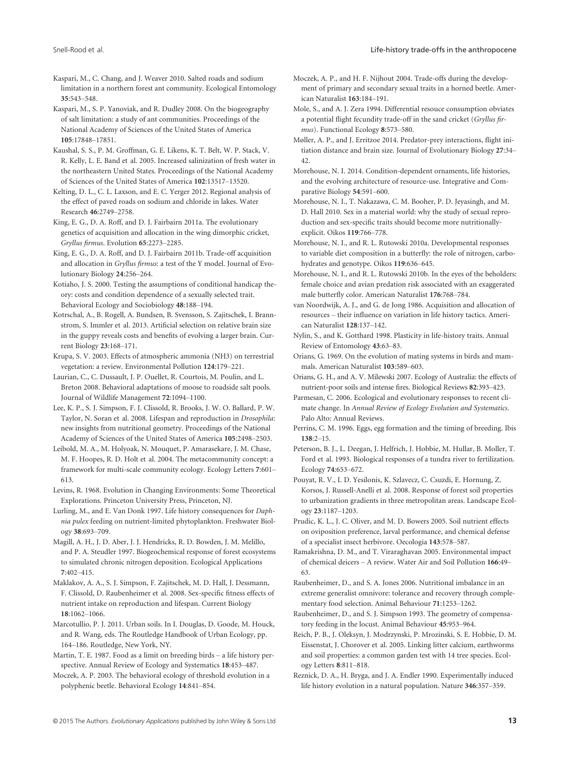Kaspari, M., C. Chang, and J. Weaver 2010. Salted roads and sodium limitation in a northern forest ant community. Ecological Entomology 35:543–548.

Kaspari, M., S. P. Yanoviak, and R. Dudley 2008. On the biogeography of salt limitation: a study of ant communities. Proceedings of the National Academy of Sciences of the United States of America 105:17848–17851.

Kaushal, S. S., P. M. Groffman, G. E. Likens, K. T. Belt, W. P. Stack, V. R. Kelly, L. E. Band et al. 2005. Increased salinization of fresh water in the northeastern United States. Proceedings of the National Academy of Sciences of the United States of America 102:13517–13520.

Kelting, D. L., C. L. Laxson, and E. C. Yerger 2012. Regional analysis of the effect of paved roads on sodium and chloride in lakes. Water Research 46:2749–2758.

King, E. G., D. A. Roff, and D. J. Fairbairn 2011a. The evolutionary genetics of acquisition and allocation in the wing dimorphic cricket, Gryllus firmus. Evolution 65:2273–2285.

King, E. G., D. A. Roff, and D. J. Fairbairn 2011b. Trade-off acquisition and allocation in Gryllus firmus: a test of the Y model. Journal of Evolutionary Biology 24:256–264.

Kotiaho, J. S. 2000. Testing the assumptions of conditional handicap theory: costs and condition dependence of a sexually selected trait. Behavioral Ecology and Sociobiology 48:188–194.

Kotrschal, A., B. Rogell, A. Bundsen, B. Svensson, S. Zajitschek, I. Brannstrom, S. Immler et al. 2013. Artificial selection on relative brain size in the guppy reveals costs and benefits of evolving a larger brain. Current Biology 23:168–171.

Krupa, S. V. 2003. Effects of atmospheric ammonia (NH3) on terrestrial vegetation: a review. Environmental Pollution 124:179–221.

Laurian, C., C. Dussault, J. P. Ouellet, R. Courtois, M. Poulin, and L. Breton 2008. Behavioral adaptations of moose to roadside salt pools. Journal of Wildlife Management 72:1094–1100.

Lee, K. P., S. J. Simpson, F. J. Clissold, R. Brooks, J. W. O. Ballard, P. W. Taylor, N. Soran et al. 2008. Lifespan and reproduction in Drosophila: new insights from nutritional geometry. Proceedings of the National Academy of Sciences of the United States of America 105:2498–2503.

Leibold, M. A., M. Holyoak, N. Mouquet, P. Amarasekare, J. M. Chase, M. F. Hoopes, R. D. Holt et al. 2004. The metacommunity concept: a framework for multi-scale community ecology. Ecology Letters 7:601– 613.

Levins, R. 1968. Evolution in Changing Environments: Some Theoretical Explorations. Princeton University Press, Princeton, NJ.

Lurling, M., and E. Van Donk 1997. Life history consequences for Daphnia pulex feeding on nutrient-limited phytoplankton. Freshwater Biology 38:693–709.

Magill, A. H., J. D. Aber, J. J. Hendricks, R. D. Bowden, J. M. Melillo, and P. A. Steudler 1997. Biogeochemical response of forest ecosystems to simulated chronic nitrogen deposition. Ecological Applications 7:402–415.

Maklakov, A. A., S. J. Simpson, F. Zajitschek, M. D. Hall, J. Dessmann, F. Clissold, D. Raubenheimer et al. 2008. Sex-specific fitness effects of nutrient intake on reproduction and lifespan. Current Biology 18:1062–1066.

Marcotullio, P. J. 2011. Urban soils. In I. Douglas, D. Goode, M. Houck, and R. Wang, eds. The Routledge Handbook of Urban Ecology, pp. 164–186. Routledge, New York, NY.

Martin, T. E. 1987. Food as a limit on breeding birds – a life history perspective. Annual Review of Ecology and Systematics 18:453–487.

Moczek, A. P. 2003. The behavioral ecology of threshold evolution in a polyphenic beetle. Behavioral Ecology 14:841–854.

Moczek, A. P., and H. F. Nijhout 2004. Trade-offs during the development of primary and secondary sexual traits in a horned beetle. American Naturalist 163:184–191.

Mole, S., and A. J. Zera 1994. Differential resouce consumption obviates a potential flight fecundity trade-off in the sand cricket (Gryllus firmus). Functional Ecology 8:573–580.

Møller, A. P., and J. Erritzoe 2014. Predator-prey interactions, flight initiation distance and brain size. Journal of Evolutionary Biology 27:34– 42.

Morehouse, N. I. 2014. Condition-dependent ornaments, life histories, and the evolving architecture of resource-use. Integrative and Comparative Biology 54:591–600.

Morehouse, N. I., T. Nakazawa, C. M. Booher, P. D. Jeyasingh, and M. D. Hall 2010. Sex in a material world: why the study of sexual reproduction and sex-specific traits should become more nutritionallyexplicit. Oikos 119:766–778.

Morehouse, N. I., and R. L. Rutowski 2010a. Developmental responses to variable diet composition in a butterfly: the role of nitrogen, carbohydrates and genotype. Oikos 119:636–645.

Morehouse, N. I., and R. L. Rutowski 2010b. In the eyes of the beholders: female choice and avian predation risk associated with an exaggerated male butterfly color. American Naturalist 176:768–784.

van Noordwijk, A. J., and G. de Jong 1986. Acquisition and allocation of resources – their influence on variation in life history tactics. American Naturalist 128:137–142.

Nylin, S., and K. Gotthard 1998. Plasticity in life-history traits. Annual Review of Entomology 43:63–83.

Orians, G. 1969. On the evolution of mating systems in birds and mammals. American Naturalist 103:589–603.

Orians, G. H., and A. V. Milewski 2007. Ecology of Australia: the effects of nutrient-poor soils and intense fires. Biological Reviews 82:393–423.

Parmesan, C. 2006. Ecological and evolutionary responses to recent climate change. In Annual Review of Ecology Evolution and Systematics. Palo Alto: Annual Reviews.

Perrins, C. M. 1996. Eggs, egg formation and the timing of breeding. Ibis 138:2–15.

Peterson, B. J., L. Deegan, J. Helfrich, J. Hobbie, M. Hullar, B. Moller, T. Ford et al. 1993. Biological responses of a tundra river to fertilization. Ecology 74:653–672.

Pouyat, R. V., I. D. Yesilonis, K. Szlavecz, C. Csuzdi, E. Hornung, Z. Korsos, J. Russell-Anelli et al. 2008. Response of forest soil properties to urbanization gradients in three metropolitan areas. Landscape Ecology 23:1187–1203.

Prudic, K. L., J. C. Oliver, and M. D. Bowers 2005. Soil nutrient effects on oviposition preference, larval performance, and chemical defense of a specialist insect herbivore. Oecologia 143:578–587.

Ramakrishna, D. M., and T. Viraraghavan 2005. Environmental impact of chemical deicers – A review. Water Air and Soil Pollution 166:49– 63.

Raubenheimer, D., and S. A. Jones 2006. Nutritional imbalance in an extreme generalist omnivore: tolerance and recovery through complementary food selection. Animal Behaviour 71:1253–1262.

Raubenheimer, D., and S. J. Simpson 1993. The geometry of compensatory feeding in the locust. Animal Behaviour 45:953–964.

Reich, P. B., J. Oleksyn, J. Modrzynski, P. Mrozinski, S. E. Hobbie, D. M. Eissenstat, J. Chorover et al. 2005. Linking litter calcium, earthworms and soil properties: a common garden test with 14 tree species. Ecology Letters 8:811–818.

Reznick, D. A., H. Bryga, and J. A. Endler 1990. Experimentally induced life history evolution in a natural population. Nature 346:357–359.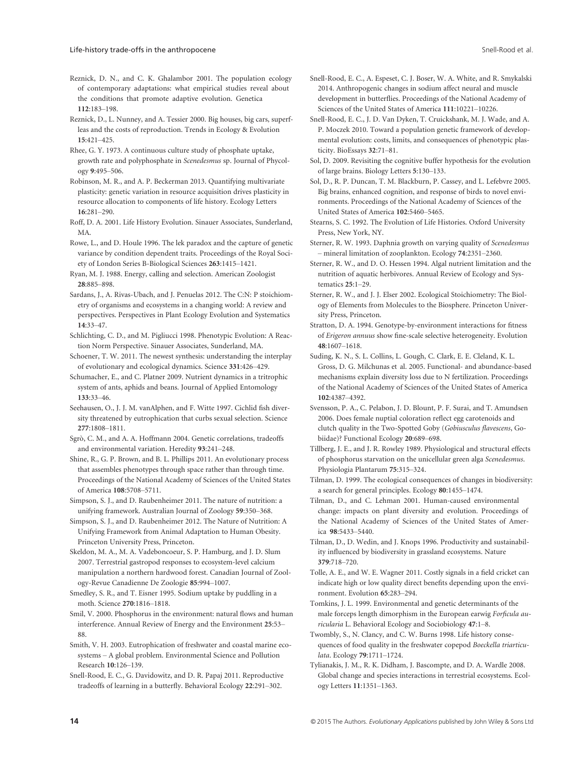- Reznick, D. N., and C. K. Ghalambor 2001. The population ecology of contemporary adaptations: what empirical studies reveal about the conditions that promote adaptive evolution. Genetica 112:183–198.
- Reznick, D., L. Nunney, and A. Tessier 2000. Big houses, big cars, superfleas and the costs of reproduction. Trends in Ecology & Evolution 15:421–425.

Rhee, G. Y. 1973. A continuous culture study of phosphate uptake, growth rate and polyphosphate in Scenedesmus sp. Journal of Phycology 9:495–506.

Robinson, M. R., and A. P. Beckerman 2013. Quantifying multivariate plasticity: genetic variation in resource acquisition drives plasticity in resource allocation to components of life history. Ecology Letters 16:281–290.

Roff, D. A. 2001. Life History Evolution. Sinauer Associates, Sunderland, MA.

Rowe, L., and D. Houle 1996. The lek paradox and the capture of genetic variance by condition dependent traits. Proceedings of the Royal Society of London Series B-Biological Sciences 263:1415–1421.

Ryan, M. J. 1988. Energy, calling and selection. American Zoologist 28:885–898.

Sardans, J., A. Rivas-Ubach, and J. Penuelas 2012. The C:N: P stoichiometry of organisms and ecosystems in a changing world: A review and perspectives. Perspectives in Plant Ecology Evolution and Systematics 14:33–47.

Schlichting, C. D., and M. Pigliucci 1998. Phenotypic Evolution: A Reaction Norm Perspective. Sinauer Associates, Sunderland, MA.

Schoener, T. W. 2011. The newest synthesis: understanding the interplay of evolutionary and ecological dynamics. Science 331:426–429.

Schumacher, E., and C. Platner 2009. Nutrient dynamics in a tritrophic system of ants, aphids and beans. Journal of Applied Entomology 133:33–46.

Seehausen, O., J. J. M. vanAlphen, and F. Witte 1997. Cichlid fish diversity threatened by eutrophication that curbs sexual selection. Science 277:1808–1811.

Sgrò, C. M., and A. A. Hoffmann 2004. Genetic correlations, tradeoffs and environmental variation. Heredity 93:241–248.

Shine, R., G. P. Brown, and B. L. Phillips 2011. An evolutionary process that assembles phenotypes through space rather than through time. Proceedings of the National Academy of Sciences of the United States of America 108:5708–5711.

Simpson, S. J., and D. Raubenheimer 2011. The nature of nutrition: a unifying framework. Australian Journal of Zoology 59:350–368.

Simpson, S. J., and D. Raubenheimer 2012. The Nature of Nutrition: A Unifying Framework from Animal Adaptation to Human Obesity. Princeton University Press, Princeton.

Skeldon, M. A., M. A. Vadeboncoeur, S. P. Hamburg, and J. D. Slum 2007. Terrestrial gastropod responses to ecosystem-level calcium manipulation a northern hardwood forest. Canadian Journal of Zoology-Revue Canadienne De Zoologie 85:994–1007.

Smedley, S. R., and T. Eisner 1995. Sodium uptake by puddling in a moth. Science 270:1816–1818.

Smil, V. 2000. Phosphorus in the environment: natural flows and human interference. Annual Review of Energy and the Environment 25:53– 88.

Smith, V. H. 2003. Eutrophication of freshwater and coastal marine ecosystems – A global problem. Environmental Science and Pollution Research 10:126–139.

Snell-Rood, E. C., G. Davidowitz, and D. R. Papaj 2011. Reproductive tradeoffs of learning in a butterfly. Behavioral Ecology 22:291–302.

- Snell-Rood, E. C., A. Espeset, C. J. Boser, W. A. White, and R. Smykalski 2014. Anthropogenic changes in sodium affect neural and muscle development in butterflies. Proceedings of the National Academy of Sciences of the United States of America 111:10221–10226.
- Snell-Rood, E. C., J. D. Van Dyken, T. Cruickshank, M. J. Wade, and A. P. Moczek 2010. Toward a population genetic framework of developmental evolution: costs, limits, and consequences of phenotypic plasticity. BioEssays 32:71–81.
- Sol, D. 2009. Revisiting the cognitive buffer hypothesis for the evolution of large brains. Biology Letters 5:130–133.

Sol, D., R. P. Duncan, T. M. Blackburn, P. Cassey, and L. Lefebvre 2005. Big brains, enhanced cognition, and response of birds to novel environments. Proceedings of the National Academy of Sciences of the United States of America 102:5460–5465.

Stearns, S. C. 1992. The Evolution of Life Histories. Oxford University Press, New York, NY.

Sterner, R. W. 1993. Daphnia growth on varying quality of Scenedesmus – mineral limitation of zooplankton. Ecology 74:2351–2360.

Sterner, R. W., and D. O. Hessen 1994. Algal nutrient limitation and the nutrition of aquatic herbivores. Annual Review of Ecology and Systematics 25:1–29.

Sterner, R. W., and J. J. Elser 2002. Ecological Stoichiometry: The Biology of Elements from Molecules to the Biosphere. Princeton University Press, Princeton.

Stratton, D. A. 1994. Genotype-by-environment interactions for fitness of Erigeron annuus show fine-scale selective heterogeneity. Evolution 48:1607–1618.

Suding, K. N., S. L. Collins, L. Gough, C. Clark, E. E. Cleland, K. L. Gross, D. G. Milchunas et al. 2005. Functional- and abundance-based mechanisms explain diversity loss due to N fertilization. Proceedings of the National Academy of Sciences of the United States of America 102:4387–4392.

Svensson, P. A., C. Pelabon, J. D. Blount, P. F. Surai, and T. Amundsen 2006. Does female nuptial coloration reflect egg carotenoids and clutch quality in the Two-Spotted Goby (Gobiusculus flavescens, Gobiidae)? Functional Ecology 20:689–698.

Tillberg, J. E., and J. R. Rowley 1989. Physiological and structural effects of phosphorus starvation on the unicellular green alga Scenedesmus. Physiologia Plantarum 75:315–324.

Tilman, D. 1999. The ecological consequences of changes in biodiversity: a search for general principles. Ecology 80:1455–1474.

Tilman, D., and C. Lehman 2001. Human-caused environmental change: impacts on plant diversity and evolution. Proceedings of the National Academy of Sciences of the United States of America 98:5433–5440.

Tilman, D., D. Wedin, and J. Knops 1996. Productivity and sustainability influenced by biodiversity in grassland ecosystems. Nature 379:718–720.

Tolle, A. E., and W. E. Wagner 2011. Costly signals in a field cricket can indicate high or low quality direct benefits depending upon the environment. Evolution 65:283–294.

Tomkins, J. L. 1999. Environmental and genetic determinants of the male forceps length dimorphism in the European earwig Forficula auricularia L. Behavioral Ecology and Sociobiology 47:1–8.

Twombly, S., N. Clancy, and C. W. Burns 1998. Life history consequences of food quality in the freshwater copepod Boeckella triarticulata. Ecology 79:1711–1724.

Tylianakis, J. M., R. K. Didham, J. Bascompte, and D. A. Wardle 2008. Global change and species interactions in terrestrial ecosystems. Ecology Letters 11:1351–1363.